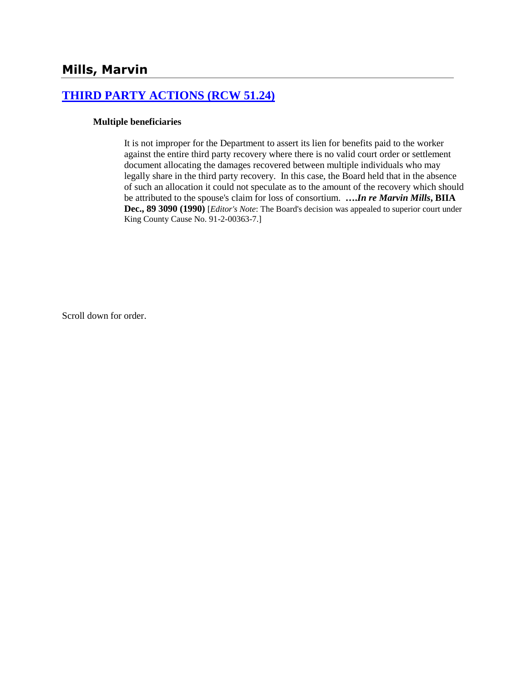# **[THIRD PARTY ACTIONS \(RCW 51.24\)](http://www.biia.wa.gov/SDSubjectIndex.html#THIRD_PARTY_ACTIONS)**

### **Multiple beneficiaries**

It is not improper for the Department to assert its lien for benefits paid to the worker against the entire third party recovery where there is no valid court order or settlement document allocating the damages recovered between multiple individuals who may legally share in the third party recovery. In this case, the Board held that in the absence of such an allocation it could not speculate as to the amount of the recovery which should be attributed to the spouse's claim for loss of consortium. **….***In re Marvin Mills***, BIIA Dec., 89 3090 (1990)** [*Editor's Note*: The Board's decision was appealed to superior court under King County Cause No. 91-2-00363-7.]

Scroll down for order.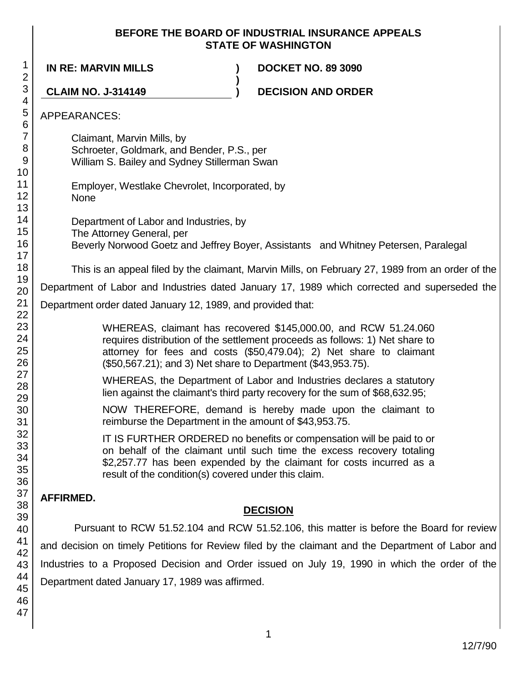### **BEFORE THE BOARD OF INDUSTRIAL INSURANCE APPEALS STATE OF WASHINGTON**

**)**

**IN RE: MARVIN MILLS ) DOCKET NO. 89 3090**

**CLAIM NO. J-314149 ) DECISION AND ORDER**

## APPEARANCES:

Claimant, Marvin Mills, by Schroeter, Goldmark, and Bender, P.S., per William S. Bailey and Sydney Stillerman Swan

Employer, Westlake Chevrolet, Incorporated, by **None** 

Department of Labor and Industries, by The Attorney General, per

Beverly Norwood Goetz and Jeffrey Boyer, Assistants and Whitney Petersen, Paralegal

This is an appeal filed by the claimant, Marvin Mills, on February 27, 1989 from an order of the

Department of Labor and Industries dated January 17, 1989 which corrected and superseded the

Department order dated January 12, 1989, and provided that:

WHEREAS, claimant has recovered \$145,000.00, and RCW 51.24.060 requires distribution of the settlement proceeds as follows: 1) Net share to attorney for fees and costs (\$50,479.04); 2) Net share to claimant (\$50,567.21); and 3) Net share to Department (\$43,953.75).

WHEREAS, the Department of Labor and Industries declares a statutory lien against the claimant's third party recovery for the sum of \$68,632.95;

NOW THEREFORE, demand is hereby made upon the claimant to reimburse the Department in the amount of \$43,953.75.

IT IS FURTHER ORDERED no benefits or compensation will be paid to or on behalf of the claimant until such time the excess recovery totaling \$2,257.77 has been expended by the claimant for costs incurred as a result of the condition(s) covered under this claim.

# **AFFIRMED.**

# **DECISION**

Pursuant to RCW 51.52.104 and RCW 51.52.106, this matter is before the Board for review and decision on timely Petitions for Review filed by the claimant and the Department of Labor and Industries to a Proposed Decision and Order issued on July 19, 1990 in which the order of the Department dated January 17, 1989 was affirmed.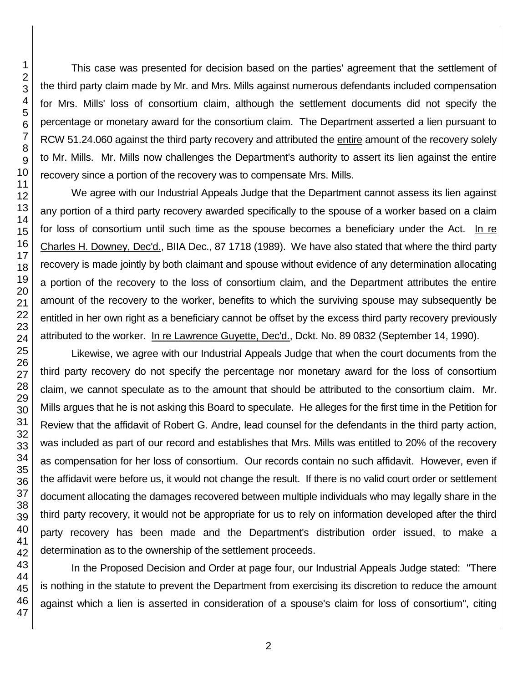This case was presented for decision based on the parties' agreement that the settlement of the third party claim made by Mr. and Mrs. Mills against numerous defendants included compensation for Mrs. Mills' loss of consortium claim, although the settlement documents did not specify the percentage or monetary award for the consortium claim. The Department asserted a lien pursuant to RCW 51.24.060 against the third party recovery and attributed the entire amount of the recovery solely to Mr. Mills. Mr. Mills now challenges the Department's authority to assert its lien against the entire recovery since a portion of the recovery was to compensate Mrs. Mills.

We agree with our Industrial Appeals Judge that the Department cannot assess its lien against any portion of a third party recovery awarded specifically to the spouse of a worker based on a claim for loss of consortium until such time as the spouse becomes a beneficiary under the Act. In re Charles H. Downey, Dec'd., BIIA Dec., 87 1718 (1989). We have also stated that where the third party recovery is made jointly by both claimant and spouse without evidence of any determination allocating a portion of the recovery to the loss of consortium claim, and the Department attributes the entire amount of the recovery to the worker, benefits to which the surviving spouse may subsequently be entitled in her own right as a beneficiary cannot be offset by the excess third party recovery previously attributed to the worker. In re Lawrence Guyette, Dec'd., Dckt. No. 89 0832 (September 14, 1990).

Likewise, we agree with our Industrial Appeals Judge that when the court documents from the third party recovery do not specify the percentage nor monetary award for the loss of consortium claim, we cannot speculate as to the amount that should be attributed to the consortium claim. Mr. Mills argues that he is not asking this Board to speculate. He alleges for the first time in the Petition for Review that the affidavit of Robert G. Andre, lead counsel for the defendants in the third party action, was included as part of our record and establishes that Mrs. Mills was entitled to 20% of the recovery as compensation for her loss of consortium. Our records contain no such affidavit. However, even if the affidavit were before us, it would not change the result. If there is no valid court order or settlement document allocating the damages recovered between multiple individuals who may legally share in the third party recovery, it would not be appropriate for us to rely on information developed after the third party recovery has been made and the Department's distribution order issued, to make a determination as to the ownership of the settlement proceeds.

In the Proposed Decision and Order at page four, our Industrial Appeals Judge stated: "There is nothing in the statute to prevent the Department from exercising its discretion to reduce the amount against which a lien is asserted in consideration of a spouse's claim for loss of consortium", citing